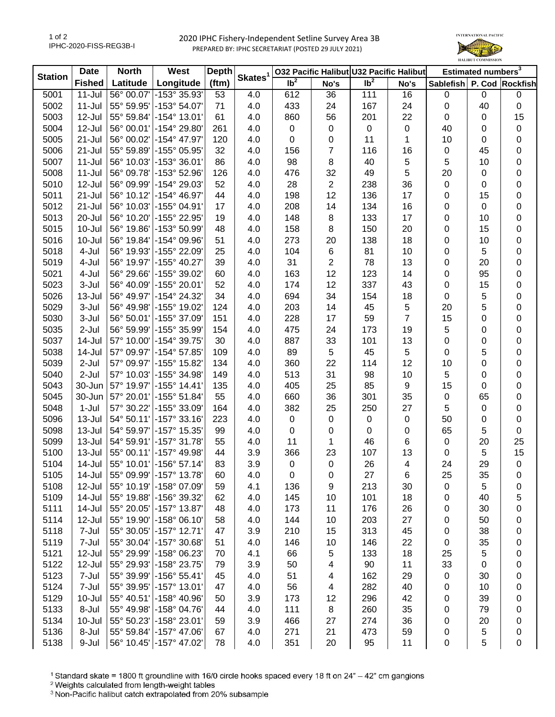## 2020 IPHC Fishery-Independent Setline Survey Area 3B PREPARED BY: IPHC SECRETARIAT (POSTED 29 JULY 2021)



| <b>Station</b> | <b>Date</b>   | <b>North</b> | West                                                 | <b>Depth</b> | Skates <sup>1</sup> | 032 Pacific Halibut U32 Pacific Halibut |                          |                 | Estimated numbers <sup>3</sup> |                           |             |           |
|----------------|---------------|--------------|------------------------------------------------------|--------------|---------------------|-----------------------------------------|--------------------------|-----------------|--------------------------------|---------------------------|-------------|-----------|
|                | <b>Fished</b> | Latitude     | Longitude                                            | (ftm)        |                     | Ib <sup>2</sup>                         | No's                     | Ib <sup>2</sup> | No's                           | Sablefish P. Cod Rockfish |             |           |
| 5001           | $11 -$ Jul    | 56° 00.07'   | -153° 35.93'                                         | 53           | 4.0                 | 612                                     | 36                       | 111             | 16                             | 0                         | $\mathbf 0$ | $\pmb{0}$ |
| 5002           | $11 -$ Jul    |              | 55° 59.95' - 153° 54.07'                             | 71           | 4.0                 | 433                                     | 24                       | 167             | 24                             | 0                         | 40          | $\pmb{0}$ |
| 5003           | 12-Jul        |              | 55° 59.84' - 154° 13.01'                             | 61           | 4.0                 | 860                                     | 56                       | 201             | 22                             | 0                         | 0           | 15        |
| 5004           | 12-Jul        |              | 56° 00.01' - 154° 29.80'                             | 261          | 4.0                 | 0                                       | 0                        | $\pmb{0}$       | $\pmb{0}$                      | 40                        | 0           | 0         |
| 5005           | $21 -$ Jul    |              | 56° 00.02' -154° 47.97'                              | 120          | 4.0                 | 0                                       | 0                        | 11              | 1                              | 10                        | 0           | 0         |
| 5006           | 21-Jul        |              | 55° 59.89' - 155° 05.95'                             | 32           | 4.0                 | 156                                     | $\overline{7}$           | 116             | 16                             | 0                         | 45          | 0         |
| 5007           | $11 -$ Jul    | 56° 10.03'   | -153° 36.01'                                         | 86           | 4.0                 | 98                                      | 8                        | 40              | 5                              | 5                         | 10          | 0         |
| 5008           | $11 -$ Jul    | 56° 09.78'   | -153° 52.96'                                         | 126          | 4.0                 | 476                                     | 32                       | 49              | 5                              | 20                        | 0           | 0         |
| 5010           | 12-Jul        | 56° 09.99'   | -154° 29.03'                                         | 52           | 4.0                 | 28                                      | $\sqrt{2}$               | 238             | 36                             | 0                         | 0           | 0         |
| 5011           | $21 -$ Jul    |              | 56° 10.12' -154° 46.97'                              | 44           | 4.0                 | 198                                     | 12                       | 136             | 17                             | 0                         | 15          | 0         |
| 5012           | $21 -$ Jul    |              | 56° 10.03' -155° 04.91'                              | 17           | 4.0                 | 208                                     | 14                       | 134             | 16                             | 0                         | 0           | 0         |
| 5013           | 20-Jul        | 56° 10.20'   | -155° 22.95'                                         | 19           | 4.0                 | 148                                     | 8                        | 133             | 17                             | 0                         | 10          | 0         |
| 5015           | $10 -$ Jul    | 56° 19.86'   | -153° 50.99'                                         | 48           | 4.0                 | 158                                     | 8                        | 150             | 20                             | 0                         | 15          | 0         |
| 5016           | 10-Jul        |              | 56° 19.84' - 154° 09.96'                             | 51           | 4.0                 | 273                                     | 20                       | 138             | 18                             | 0                         | 10          | 0         |
| 5018           | 4-Jul         | 56° 19.93'   | -155° 22.09'                                         | 25           | 4.0                 | 104                                     | 6                        | 81              | 10                             | 0                         | 5           | 0         |
| 5019           | 4-Jul         | 56° 19.97'   | -155° 40.27'                                         | 39           | 4.0                 | 31                                      | 2                        | 78              | 13                             | 0                         | 20          | 0         |
| 5021           | 4-Jul         | 56° 29.66'   | -155° 39.02'                                         | 60           | 4.0                 | 163                                     | 12                       | 123             | 14                             | 0                         | 95          | 0         |
| 5023           | 3-Jul         |              | 56° 40.09' -155° 20.01'                              | 52           | 4.0                 | 174                                     | 12                       | 337             | 43                             | 0                         | 15          | 0         |
| 5026           | 13-Jul        |              | 56° 49.97' - 154° 24.32'                             | 34           | 4.0                 | 694                                     | 34                       | 154             | 18                             | 0                         | 5           | 0         |
| 5029           | 3-Jul         |              | 56° 49.98' -155° 19.02'                              | 124          | 4.0                 | 203                                     | 14                       | 45              | 5                              | 20                        | 5           | 0         |
| 5030           | 3-Jul         |              | 56° 50.01' - 155° 37.09'                             | 151          | 4.0                 | 228                                     | 17                       | 59              | $\overline{7}$                 | 15                        | 0           | 0         |
| 5035           | $2-Jul$       |              | 56° 59.99' -155° 35.99'                              | 154          | 4.0                 | 475                                     | 24                       | 173             | 19                             | 5                         | 0           | 0         |
| 5037           | 14-Jul        |              | 57° 10.00' - 154° 39.75'                             | 30           | 4.0                 | 887                                     | 33                       | 101             | 13                             | 0                         | 0           | 0         |
| 5038           | 14-Jul        |              | 57° 09.97' -154° 57.85'                              | 109          | 4.0                 | 89                                      | $\,$ 5 $\,$              | 45              | $\mathbf 5$                    | 0                         | 5           | 0         |
| 5039           | 2-Jul         |              | 57° 09.97' - 155° 15.82'                             | 134          | 4.0                 | 360                                     | 22                       | 114             | 12                             | 10                        | 0           | 0         |
| 5040           | 2-Jul         |              | 57° 10.03' -155° 34.98'                              | 149          | 4.0                 | 513                                     | 31                       | 98              | 10                             | 5                         | 0           | 0         |
| 5043           | 30-Jun        |              | 57° 19.97' - 155° 14.41'                             | 135          | 4.0                 | 405                                     | 25                       | 85              | $\boldsymbol{9}$               | 15                        | 0           | 0         |
| 5045           | 30-Jun        |              | 57° 20.01' - 155° 51.84'                             | 55           | 4.0                 | 660                                     | 36                       | 301             | 35                             | 0                         | 65          | 0         |
| 5048           | $1-Jul$       |              | 57° 30.22' -155° 33.09'                              | 164          | 4.0                 | 382                                     | 25                       | 250             | 27                             | 5                         | 0           | 0         |
| 5096           | $13 -$ Jul    |              | 54° 50.11' - 157° 33.16'                             | 223          | 4.0                 | 0                                       | 0                        | $\mathbf 0$     | $\,0\,$                        | 50                        | 0           | 0         |
| 5098           | 13-Jul        |              | 54° 59.97' - 157° 15.35'                             | 99           | 4.0                 | 0                                       | 0                        | $\mathbf 0$     | 0                              | 65                        | 5           | 0         |
| 5099           | $13 -$ Jul    |              | 54° 59.91' - 157° 31.78'                             | 55           | 4.0                 | 11                                      | 1                        | 46              | 6                              | 0                         | 20          | 25        |
| 5100           | 13-Jul        |              | 55° 00.11' - 157° 49.98'                             | 44           | 3.9                 | 366                                     | 23                       | 107             | 13                             | 0                         | 5           | 15        |
| 5104           | 14-Jul        |              | 55° 10.01' - 156° 57.14'                             | 83           | 3.9                 | 0                                       | 0                        | 26              | 4                              | 24                        | 29          | $\pmb{0}$ |
| 5105           | 14-Jul        |              | 55° 09.99' - 157° 13.78'                             | 60           | 4.0                 | 0                                       | 0                        | 27              | 6                              | 25                        | 35          | 0         |
| 5108           | 12-Jul        |              | 55° 10.19' - 158° 07.09'                             | 59           | 4.1                 | 136                                     | 9                        | 213             | 30                             | 0                         | 5           | 0         |
| 5109           | 14-Jul        |              | 55° 19.88' - 156° 39.32'                             | 62           | 4.0                 | 145                                     | 10                       | 101             | 18                             | 0                         | 40          | 5         |
| 5111           | 14-Jul        |              | 55° 20.05' - 157° 13.87'                             | 48           | 4.0                 | 173                                     | 11                       | 176             | 26                             |                           | 30          | 0         |
| 5114           | 12-Jul        |              | 55° 19.90' - 158° 06.10'                             | 58           | 4.0                 | 144                                     | 10                       | 203             | 27                             | 0<br>0                    | 50          |           |
| 5118           | 7-Jul         | 55° 30.05'   | -157° 12.71'                                         |              |                     | 210                                     |                          | 313             |                                |                           | 38          | 0         |
|                |               |              |                                                      | 47           | 3.9                 |                                         | 15                       |                 | 45                             | 0                         |             | 0         |
| 5119           | 7-Jul         |              | 55° 30.04' - 157° 30.68'<br>55° 29.99' - 158° 06.23' | 51           | 4.0                 | 146                                     | 10                       | 146             | 22                             | 0                         | 35          | 0         |
| 5121           | 12-Jul        |              |                                                      | 70           | 4.1                 | 66                                      | $\,$ 5 $\,$              | 133             | 18                             | 25                        | 5           | 0         |
| 5122           | 12-Jul        |              | 55° 29.93' - 158° 23.75'                             | 79           | 3.9                 | 50                                      | 4                        | 90              | 11                             | 33                        | $\mathbf 0$ | 0         |
| 5123           | 7-Jul         |              | 55° 39.99' - 156° 55.41'                             | 45           | 4.0                 | 51                                      | $\overline{\mathcal{A}}$ | 162             | 29                             | 0                         | 30          | 0         |
| 5124           | 7-Jul         |              | 55° 39.95' - 157° 13.01'                             | 47           | 4.0                 | 56                                      | $\overline{\mathbf{4}}$  | 282             | 40                             | 0                         | 10          | 0         |
| 5129           | 10-Jul        |              | 55° 40.51' - 158° 40.96'                             | 50           | 3.9                 | 173                                     | 12                       | 296             | 42                             | 0                         | 39          | 0         |
| 5133           | 8-Jul         |              | 55° 49.98' -158° 04.76'                              | 44           | 4.0                 | 111                                     | 8                        | 260             | 35                             | 0                         | 79          | 0         |
| 5134           | $10 -$ Jul    |              | 55° 50.23' -158° 23.01'                              | 59           | 3.9                 | 466                                     | 27                       | 274             | 36                             | 0                         | 20          | 0         |
| 5136           | 8-Jul         |              | 55° 59.84' - 157° 47.06'                             | 67           | 4.0                 | 271                                     | 21                       | 473             | 59                             | 0                         | 5           | 0         |
| 5138           | 9-Jul         |              | 56° 10.45' - 157° 47.02'                             | 78           | 4.0                 | 351                                     | 20                       | 95              | 11                             | 0                         | 5           | 0         |

<sup>1</sup> Standard skate = 1800 ft groundline with 16/0 circle hooks spaced every 18 ft on 24" - 42" cm gangions

<sup>2</sup> Weights calculated from length-weight tables

<sup>3</sup> Non-Pacific halibut catch extrapolated from 20% subsample